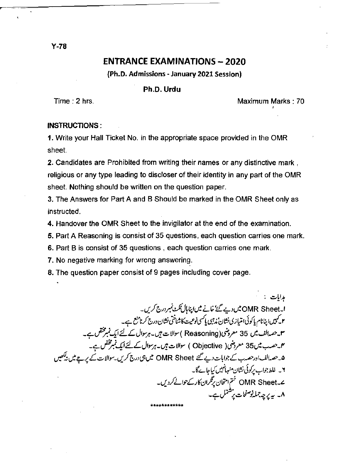# **ENTRANCE EXAMINATIONS - 2020**

(Ph.D. Admissions - January 2021 Session)

## Ph.D. Urdu

Time: 2 hrs.

Maximum Marks: 70

### INSTRUCTIONS:

1. Write your Hall Ticket No. in the appropriate space provided in the OMR sheet.

2. Candidates are Prohibited from writing their names or any distinctive mark. religious or any type leading to discloser of their identity in any part of the OMR sheet. Nothing should be written on the question paper.

3. The Answers for Part A and B Should be marked in the OMR Sheet only as instructed.

4. Handover the OMR Sheet to the invigilator at the end of the examination.

5. Part A Reasoning is consist of 35 questions, each question carries one mark.

6. Part B is consist of 35 questions, each question carries one mark.

7. No negative marking for wrong answering.

8. The question paper consist of 9 pages including cover page.

مدايات : ا۔OMR Sheet میں دیے گئے' خانے میں اپناہال ٹکٹ نمبر درج کریں۔ مستعملے کی کہ اسک سی رہیں ہے کہ سے سے سی کہا ہا ہے ، برگزمیں کریا ہے۔<br>اس کہیں اپنانام یا کوئی امتیازی نشان ند جہی یا کسی نوعیت کا شناختی نشان درج کرنا منع ہے۔<br>سم یہ حصہ الف میں 35 معروضی( Objective ) سوالات ہیں۔ہرسوال کے ۔ یہ - سامنے اور حصہ ب سے جوابات دیے گئے OMR Sheet میں ہی درج کریں۔سوالات کے پر چے میں نہ بھیں<br>۵۔حصہ الف اور حصہ ب سے جوابات دیے گئے OMR Sheet میں ہی درج کریں۔سوالات کے پر چے میں نہ بھیں ۰<br>۲۔ غلط جواب پرکوئی نشان منہائبیں کیاجائےگا۔ ے۔OMR Sheet ختم امتحان پرتگران کارکے حوالے کردیں۔<br>۸۔ یہ پر چہ جملہ نوصفحات پر شتمل ہے۔

 $Y-78$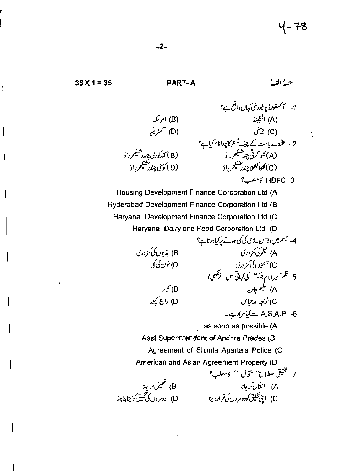(B) امریکه

(D) آسٹریلیا

(B) کندکوري چندر شيڪھرراؤ

(D) كۇنى چندرىشى*كى ر*ادَ

 $35 X 1 = 35$ 

## **PART-A**

# حصہُ الفَ

1- آکسفورڈیونیورٹی کہاں داقع ہے؟ انگلینڈ (A)<br>من  $x^*$  (C) 2 - تلنگاندریاست کے چیف منسٹرکا پورانام کیاہے؟ .<br>(A) کلوا کرتی چند مختیکھرراؤ (C) كلواكىنى<sub>لا</sub> چندرىشى*كى ر*اؤ HDFC -3 كامطلب؟

Housing Development Finance Corporation Ltd (A Hyderabad Development Finance Corporation Ltd (B Haryana Development Finance Corporation Ltd (C Haryana Dairy and Food Corporation Ltd (D

B) بڈیوں کی کمزوری D) خون کې کې

B) سمبر D) راج کپور

A.S.A.P -6 سے کیامرادے۔

A) انتقال *کر*جانا

C)خواجداحمدعباس

A) سليم جاويد

A) نظر کی کمز در پی

C) آنتوں کی کمزوری - ۱٫۰۰۰ سال کردن<br>5- فلم''میرانام جوکر'' کی کہانی مس نے لکھی؟

as soon as possible (A

.<br>C) اپنی تخلیق کودوسروں کی قرارد ینا

4- جسم میں وٹامن۔ڈی کی کمی ہونے پر کیاہوتا ہے؟

Asst Superintendent of Andhra Prades (B

Agreement of Shimla Agartala Police (C

American and Asian Agreement Property (D 7- تحقيقى اصطلاح'' انتخال '' كامطلب؟

B) تحلیل ہوجانا<br>D) دوسروں کی تخلیق کواپنا بنالینا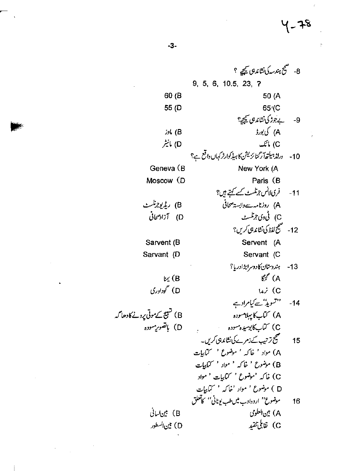8- منتج ہندسہ کی نشاند ہی گیجیے ؟ 9, 5, 6, 10.5, 23, ? 50 (A 60 (B 65<sup>'</sup>(C 55 (D بے جوڑ کی نشاندیں کیچی؟  $-9$ A) كى بورڈ **bl** (B D) مانيٹر C) مائک 10- ورلڈ ہیلتھ آرگنا ئزیشن کا ہیڈ کوارٹر کہاں واقع ہے؟ New York (A Geneva (B Moscow (D Paris (B فری لانس جرنلسٹ *کے کہتے ہی*ں؟  $-11$ B) ریڈیوجرنگسٹ A) روزنامہ سے وابسۃ صحافی C) ڨوی جرتلسٹ D) آزاد صحافی 12- منتج لفظ كي نشاند ہي کريں؟ Servent (A Sarvent (B Servant (C Sarvant (D 13- ہندوستان کادوسرابڑادریا؟  $\mathcal{E}^{\ell}$  (A  $\mathfrak{c}$  (B D) گوداوری  $147$  (C فستشويڈ' سے کیامراد ہے  $-14$ A) کتابکا پېلامسوده C) كتاب كابوسيده مسوده مستن ھیج تر تیپ کے زمرے کی نشاندہی کریں۔ 15 A) مواد ' خاکه ' موضوع ' کتابیات B) موضوع ' خاکہ ' مواد ' کتابیات C) خاکه 'موضوع ' کماکیات ' مواد D ) موضوع <sup>،</sup> مواد 'خاکه ' کتابیات موضوع'' اردوادب میں طب یونانی'' کاتعلق 16 A) بين العلومي B) بين لسائي C) نقايل تنقيد D) بين السطور

 $-3-$ 

B) تشیع کے موتی پرونے کا دھا گہ D) باتصوریسوده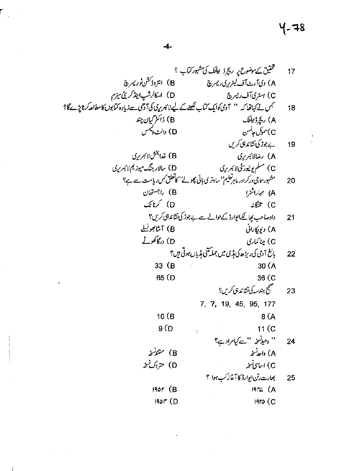# $4 - 78$

 $\frac{\partial}{\partial t}$ 

 $\ddot{\phantom{0}}$  $\sim$   $\sim$ 

l,

 $\ddot{\phantom{a}}$ 

 $\sim$   $\epsilon$ 

 $\ddot{\phantom{0}}$ 

77 17  
\n78. 
$$
2\pi
$$
 17  
\n8.  $2\pi$  18.  $3\pi$  19.  $45$ ,  $95$ ,  $177$   
\n9.  $2\pi$  10.  $1\pi$   
\n10.  $1\pi$   
\n11.  $1\pi$   
\n12.  $1\pi$   
\n13.  $1\pi$   
\n14.  $1\pi$   
\n15.  $1\pi$   
\n16.  $1\pi$   
\n17.  $3\pi$   
\n18.  $1\pi$   
\n19.  $4\pi$   
\n10.  $1\pi$   
\n11.  $1\pi$   
\n12.  $1\pi$   
\n13.  $1\pi$   
\n14.  $1\pi$   
\n15.  $1\pi$   
\n16.  $1\pi$   
\n17.  $1\pi$   
\n18.  $1\pi$   
\n19.  $1\pi$   
\n10.  $1\pi$   
\n11.  $1\pi$   
\n12.  $1\pi$   
\n13.  $1\pi$   
\n14.  $1\pi$   
\n15.  $1\pi$   
\n16.  $1\pi$   
\n17.  $1\pi$   
\n18.  $1\pi$   
\n19.  $1\pi$   
\n10.  $1\pi$   
\n11.  $1\pi$   
\n12.  $1\pi$   
\n13.  $1\pi$   
\n14.  $1\pi$   
\n15.  $1\pi$   
\n16.  $1\pi$   
\n17.  $1\pi$   
\n18.  $1\pi$   
\n19.  $1\pi$   
\n10.  $1\pi$   
\n10.  $1\pi$   
\n11.  $1\pi$   
\n12.  $1\pi$ 

 $\mathbb{R}^2$ 

l,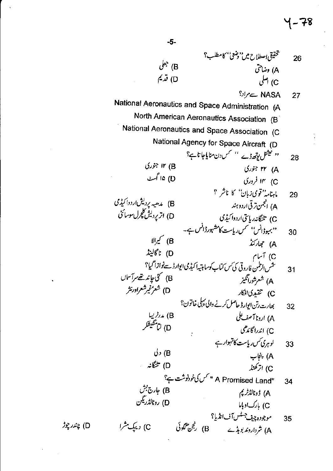تخقيقي اصطلاح ميں''دضعي'' كامطلب؟ 26  $\mathcal{C}^{\flat 2}$  (B A) وضاحتی D) تريم C) اصلي NASA ہےمراد؟ 27 National Aeronautics and Space Administration (A North American Aeronautics Association (B) National Aeronautics and Space Association (C National Agency for Space Aircraft (D '' نیشنل بوتھ ڈے '' کس دن منایاجاتا ہے؟ 28 ۱۲ (B ۳۲ (A) ۲۳ D) ۱۵ گمٹ ۲) ۱۴ فروری ماہنامہ''قومی زبان'' کا ناشر ؟ 29 B) مدھیہ یردیشاردوا کیڈی A) انجمن ترقی اردو ہند<br>C) تلنگانہ ریاستی اردوا کیڈی D) اتریردیش کلچرل سوسائی ۔<br>''بہوڈانس'' کس ریاست کا مشہورڈانس ہے۔<br>A) حجارکنڈ 30 ل کیږالا $\int_{\pi}$ D) ناگالینڈ C) آسام ىتمس الرطس فاروقى كى س كتاب كوسا بتيه أكيدمى ايوار ڈےنوازا گيا؟  $31$ B) گئی جاند تھے مرآساں A) شعرشورانگیز D) شعرٌ غير شعراورنثر C) تنقيدىافكار بھارت رتن ایوارڈ حاصل کرنے والی پہلی خاتون؟ 32 B) مدرخریبا A) اردنا آصف علی ں<br>D) لِلْمُتَّقِيَّلُ C) اندراگاندھی لوہری کس ریاست کا تہوار ہے 33  $J$ رل $B$ A) پنجاب D) تلنگانه پ C) اتر کھنڈ "A Promised Land" مس کی خودنوشت ہے؟ 34 .<br>B) جارج بش D) رونالڈریگن 35 C) د یک مثرا

D) چندر چوڑ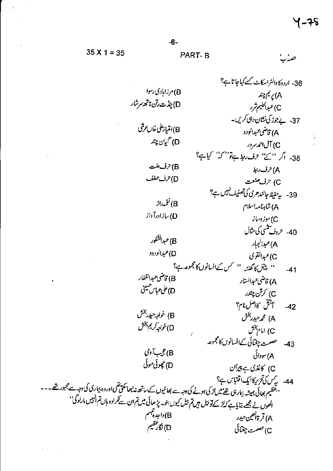حصہُ

 $35 X 1 = 35$ 

PART-B

36- اردوكاوالثراسكاٹ كے كہاجاتا ہے؟ B) مرزابادی رسوا A) پريم چند D) بېن<sup>ا</sup>ت رتن ناتھ سرشار C)غېدا<sup>ل</sup>ل<sup>ې</sup>م شرر 37- بے جوڑ کی نشان دہی کریں۔ B)انتياز على خان عرشى A) قاضي *عبد*الود و D) گيان چند C) آل احمد سرور 38- اگر ''کے'' حرف ربط ہےتو'' کہ کیاہے؟ B)حرف علت A) حرف ربط D) حرف عطف C) حرف صنعت 39- يدحفيظ جالند هري كي تصنيف نبيس ہ؟ نۇرلاز (B A) شاہنامہ!سلام D) سازادرآ داز .<br>C)سوز وساز 40- حروف پنسي کي مثال B)عبدالشكور A) <sup>ع</sup>بدالجباد D)عبدالودود C)عبدالقوي ' پیل کا گفته '' کس کےافسانوں کامجموعہ ہے؟  $-41$ B) قاضي عبدالغفار A) قاضي *عبد*الستار D)على عباس حسينى C) کرش چندر أتقق كالصل نام؟  $-42$ B) خواجه حيدر بخش A) محمرحيدر بخش D)خواجه کريم بخش C) امام بخش عصمت چغپائی کےافسانوں کامجموعہ  $-43$ B) عجیب آ دی A) سودائی D) جِھوئی موئی C) كاغذى ہے پير<sup>بي</sup>ن 44- يدس كي تحريركايك اقتباس ب؟ <sup>د د</sup>غظیم بھائی ہمیشہ بیاری <del>تھے میں لڑ کی ہ</del>ونے کی دجہ سے بھائیوں کے ساتھ نہ بھاسکتی تھی اوروہ بیاری کی دجہ سے مجبور تھے۔۔۔ انھوں نے مجھے بتایا ہے کہ لڑ کے تو تیل ہیں تم ہیل کیوں بنو۔ پڑ ھائی میں تم ان سے گرلود ہاں تم انہیں مارلوگی'' B) داجدة<br>ب A) قرةالعين حيدر D) نگار<br>شهر C)عصمت چغتائی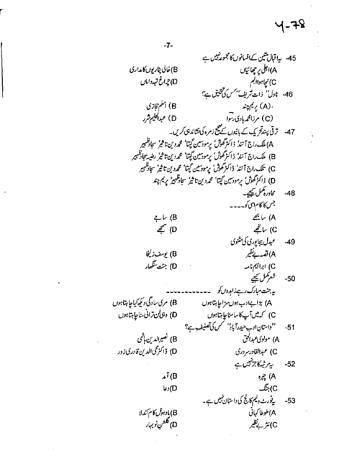45- يداقبال تتين كےافسانوں كالمجموعة نيس ہے A)اجلی پر چھائیاں B) خالی پٹاریوں کا مداری D) چەاغ تې<sub>م</sub>داماں C) نيچاہواالجم 46- نادك<sup>ر،</sup> ذات تريف بهس كي تحقيق ہ؟ B) اسلم حجازی (A) پريم چند ا (A) پر می چند<br>(C) مرزامحه بادی رسوا D) عبداللیم شرر 47- ترقی پندتجریک کے بانیوں کے صحیح زمرہ کی نشاندہی کریں۔ A) ملک راج آنندُ ڈاکٹر گھو*ش*ُ پرمودسین گپتا' محم**ردین تا** ثیرُ سجادظہیر B) ملک راج آنندُ ڈاکٹر گھوشُ' پرمودسین گپتا' محمددین تاثیرُ رضیہ سجادطہیر C) تلك راج آنند' ڈاکٹر گھو*ژ*' برمودسین گپتا' محمددین تاثیر' سجادظہیر D) ڈاکٹر گھوژن' پرمودسین گپتا' محمدد ین تاثیرٴ سجادظہیرٗ پر <sup>م</sup> چند محاورہ کمل کیجیے۔  $-48$ جس کا کام اس کو۔۔۔۔  $\mathbb{Z}$ ب (A (B ساب  $\mathcal{E}(D)$ C) ساڻھے عبدل بېجايوري کې شنوي  $-49$ A)قصەبەنظىر B) يوسف زليخا D) جنت ينگھار C) ابراہیم نامہ شعركمل تيجير  $-50$ ىيەجنت مىبارك رہے زاہدوں كو B) مری سادگی دیگیرکیاجا ہتا ہوں A) بڑانےادبہوں مزاجا ہتا ہوں D) وجي لن تراني سناجاٍ بهتا ہوں C) كەمىن آپ كاسامنا چاہتا ہوں ''داستانِ ادب حیدرآباد' مکس کی تصنیف ہے؟  $-51$ B) نصيرالدين ہاڻمي A) مولوی عبدالحق D) ڈاکٹرمحیالدین قادری زور C) عبدالقادر سروری ىيەر شەكاجزىن<u>ىل ب</u>  $-52$  $\mathcal{A}^{\uparrow}(B)$  $\mathcal{R}$  (A C) بنگ D) دعا یڈورٹ ولیم کالج کی داستان نہیں ہے۔  $-53$ A)طوطا کہائی B) پادہول کام کندلا D) گلشن نوبرار<br>D) گلشن نوبرار C) نثر بےنظیر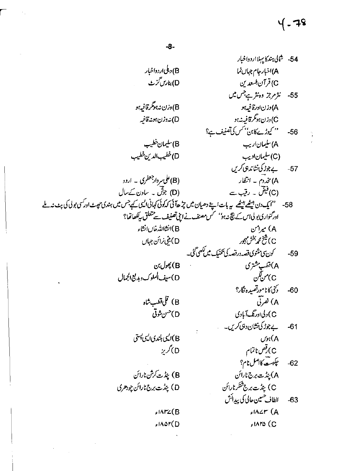# ५ - 78

54- شالى بىندكاي بىلا اردواخبار B) دېڭى ار دواخپار A)اخبار جام جہاں نما D) بنارس گز ب C) قر آن السعد ين 55- تثر مرجز وہنثر ہے جس میں B) وزن نه بهوګر قافيه بو A) دز نادرقافیه بو C)دزن ہونگرقافیہ نہ ہو D) نەدزن بوينەقافيە '' کیوڑے کابن'' کس کی تصنیف ہے؟  $-56$ B)سليمان خطيب A) سليمان *ادي*ب D)خطيب الدين خطيب (C) سليمان اديب 57- يەجەزى ئىشاندى*تى كري*پ (B)علی سردارجعفری ۔ ارود A) مخدوم ۔ انتظار (D) جوش ۔ ساون کےسال (C)فیض ۔ رقیب سے 58- ''ایک دن بیٹھ بیٹھ پہ بات اپنے دھیان میں چڑھآئی کہ کوئی کہانی ایسی کیے جس میں ہندی حیث اور کسی بولی کی پٹ نہ ملے ادرگنواری بولی اس کے پچ نہ ہو'' کس مصنف نے ابنی تصنیف سے متعلق بہ پکھاتھا؟ B)انشاالله خال انشاء A) میرامن C)څخ مُمربخش بېجور<br>C) D) بني زائن جهاں كۈن ئى<sup>م</sup>ىنىۋى قصەدرقصەكى ئىنيك مىں ك<sup>ى</sup>ھى گ<sup>ى</sup>ك  $-59$ A)قفسي<sup>ىشت</sup>رى B) پھول بن D)سيف الملوك وبديع الجمال C)من لگن دىنى كانامورقصيده نگار؟  $-60$ B) قلى قطىب شاه A) نفرتی D<sup>حس</sup>ن ثوتي C) د لی اورتگ آبادی یے جوڑ کی نشان دہی کریں۔  $-61$ B)ايى باندى ايى پىتى  $\mathcal{N}(\mathsf{A})$ C) قص ناتمام D)گريز چکېت کاصل نام؟  $-62$ B) بنڈت کرش نارائن A) بينه ست برج نارائن C) پیڈت برج شکرنارائن D) بنڈت برج نارائن چودھری الطاف حسين حالي كي پيدائش  $-63$  $f$  $A2r$   $(A$ ۶۱۸۳۷(B  $AAT(D)$  $f$  $\Lambda$ ro (C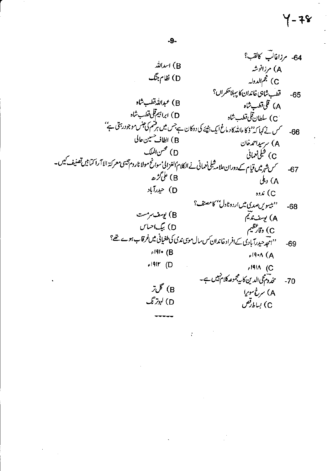$Y - 78$ 

 $\frac{1}{\pi}$ 

 $\frac{1}{2}$  .

 $\mathcal{O}(\mathcal{C})$ 

 $\label{eq:2.1} \frac{1}{2} \int_{\mathbb{R}^3} \frac{1}{2} \int_{\mathbb{R}^3} \frac{1}{2} \left( \frac{1}{2} \int_{\mathbb{R}^3} \frac{1}{2} \int_{\mathbb{R}^3} \frac{1}{2} \int_{\mathbb{R}^3} \frac{1}{2} \int_{\mathbb{R}^3} \frac{1}{2} \int_{\mathbb{R}^3} \frac{1}{2} \int_{\mathbb{R}^3} \frac{1}{2} \int_{\mathbb{R}^3} \frac{1}{2} \int_{\mathbb{R}^3} \frac{1}{2} \int_{\$ 

 $\label{eq:2.1} \frac{1}{\sqrt{2}}\int_{\mathbb{R}^3}\frac{1}{\sqrt{2}}\left(\frac{1}{\sqrt{2}}\right)^2\frac{1}{\sqrt{2}}\left(\frac{1}{\sqrt{2}}\right)^2\frac{1}{\sqrt{2}}\left(\frac{1}{\sqrt{2}}\right)^2\frac{1}{\sqrt{2}}\left(\frac{1}{\sqrt{2}}\right)^2.$ 

 $\mathbb{R}^2$ 

 $\label{eq:2.1} \frac{1}{\sqrt{2\pi}}\frac{1}{\sqrt{2\pi}}\left(\frac{1}{\sqrt{2\pi}}\right)^{2/3}\frac{1}{\sqrt{2\pi}}\left(\frac{1}{\sqrt{2\pi}}\right)^{2/3}\frac{1}{\sqrt{2\pi}}\left(\frac{1}{\sqrt{2\pi}}\right)^{2/3}\frac{1}{\sqrt{2\pi}}\left(\frac{1}{\sqrt{2\pi}}\right)^{2/3}\frac{1}{\sqrt{2\pi}}\frac{1}{\sqrt{2\pi}}\frac{1}{\sqrt{2\pi}}\frac{1}{\sqrt{2\pi}}\frac{1}{\sqrt{2\pi}}\frac{1}{\sqrt$ 

 $\mathcal{L}^{\text{max}}_{\text{max}}$  , where  $\mathcal{L}^{\text{max}}_{\text{max}}$ 

 $\label{eq:2} \frac{1}{\sqrt{2}}\sum_{i=1}^n\frac{1}{\sqrt{2}}\sum_{j=1}^n\frac{1}{j!}\sum_{j=1}^n\frac{1}{j!}\sum_{j=1}^n\frac{1}{j!}\sum_{j=1}^n\frac{1}{j!}\sum_{j=1}^n\frac{1}{j!}\sum_{j=1}^n\frac{1}{j!}\sum_{j=1}^n\frac{1}{j!}\sum_{j=1}^n\frac{1}{j!}\sum_{j=1}^n\frac{1}{j!}\sum_{j=1}^n\frac{1}{j!}\sum_{j=1}^n\frac{1}{j!}\sum_{j=1}^$